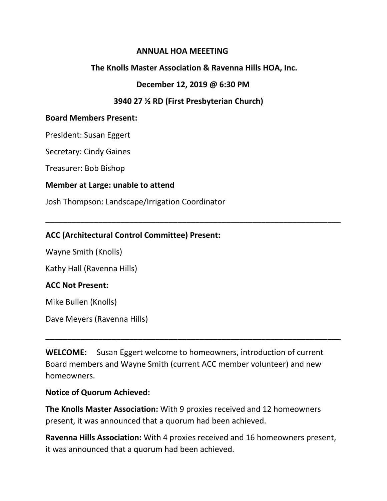#### **ANNUAL HOA MEEETING**

### **The Knolls Master Association & Ravenna Hills HOA, Inc.**

#### **December 12, 2019 @ 6:30 PM**

\_\_\_\_\_\_\_\_\_\_\_\_\_\_\_\_\_\_\_\_\_\_\_\_\_\_\_\_\_\_\_\_\_\_\_\_\_\_\_\_\_\_\_\_\_\_\_\_\_\_\_\_\_\_\_\_\_\_\_\_\_\_\_\_\_\_\_

## **3940 27 ½ RD (First Presbyterian Church)**

#### **Board Members Present:**

President: Susan Eggert

Secretary: Cindy Gaines

Treasurer: Bob Bishop

#### **Member at Large: unable to attend**

Josh Thompson: Landscape/Irrigation Coordinator

## **ACC (Architectural Control Committee) Present:**

Wayne Smith (Knolls)

Kathy Hall (Ravenna Hills)

#### **ACC Not Present:**

Mike Bullen (Knolls)

Dave Meyers (Ravenna Hills)

**WELCOME:** Susan Eggert welcome to homeowners, introduction of current Board members and Wayne Smith (current ACC member volunteer) and new homeowners.

\_\_\_\_\_\_\_\_\_\_\_\_\_\_\_\_\_\_\_\_\_\_\_\_\_\_\_\_\_\_\_\_\_\_\_\_\_\_\_\_\_\_\_\_\_\_\_\_\_\_\_\_\_\_\_\_\_\_\_\_\_\_\_\_\_\_\_

#### **Notice of Quorum Achieved:**

**The Knolls Master Association:** With 9 proxies received and 12 homeowners present, it was announced that a quorum had been achieved.

**Ravenna Hills Association:** With 4 proxies received and 16 homeowners present, it was announced that a quorum had been achieved.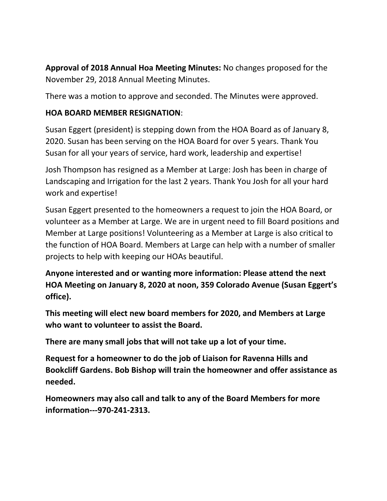**Approval of 2018 Annual Hoa Meeting Minutes:** No changes proposed for the November 29, 2018 Annual Meeting Minutes.

There was a motion to approve and seconded. The Minutes were approved.

## **HOA BOARD MEMBER RESIGNATION**:

Susan Eggert (president) is stepping down from the HOA Board as of January 8, 2020. Susan has been serving on the HOA Board for over 5 years. Thank You Susan for all your years of service, hard work, leadership and expertise!

Josh Thompson has resigned as a Member at Large: Josh has been in charge of Landscaping and Irrigation for the last 2 years. Thank You Josh for all your hard work and expertise!

Susan Eggert presented to the homeowners a request to join the HOA Board, or volunteer as a Member at Large. We are in urgent need to fill Board positions and Member at Large positions! Volunteering as a Member at Large is also critical to the function of HOA Board. Members at Large can help with a number of smaller projects to help with keeping our HOAs beautiful.

**Anyone interested and or wanting more information: Please attend the next HOA Meeting on January 8, 2020 at noon, 359 Colorado Avenue (Susan Eggert's office).** 

**This meeting will elect new board members for 2020, and Members at Large who want to volunteer to assist the Board.**

**There are many small jobs that will not take up a lot of your time.**

**Request for a homeowner to do the job of Liaison for Ravenna Hills and Bookcliff Gardens. Bob Bishop will train the homeowner and offer assistance as needed.**

**Homeowners may also call and talk to any of the Board Members for more information---970-241-2313.**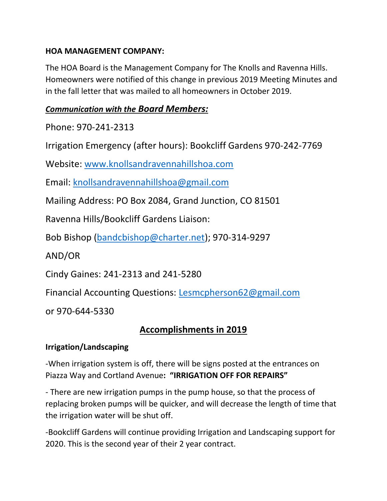## **HOA MANAGEMENT COMPANY:**

The HOA Board is the Management Company for The Knolls and Ravenna Hills. Homeowners were notified of this change in previous 2019 Meeting Minutes and in the fall letter that was mailed to all homeowners in October 2019.

## *Communication with the Board Members:*

Phone: 970-241-2313

Irrigation Emergency (after hours): Bookcliff Gardens 970-242-7769

Website: [www.knollsandravennahillshoa.com](http://www.knollsandravennahillshoa.com/)

Email: [knollsandravennahillshoa@gmail.com](mailto:knollsandravennahillshoa@gmail.com)

Mailing Address: PO Box 2084, Grand Junction, CO 81501

Ravenna Hills/Bookcliff Gardens Liaison:

Bob Bishop [\(bandcbishop@charter.net\)](mailto:bandcbishop@charter.net); 970-314-9297

AND/OR

Cindy Gaines: 241-2313 and 241-5280

Financial Accounting Questions: [Lesmcpherson62@gmail.com](mailto:Lesmcpherson62@gmail.com)

or 970-644-5330

# **Accomplishments in 2019**

## **Irrigation/Landscaping**

-When irrigation system is off, there will be signs posted at the entrances on Piazza Way and Cortland Avenue**: "IRRIGATION OFF FOR REPAIRS"**

- There are new irrigation pumps in the pump house, so that the process of replacing broken pumps will be quicker, and will decrease the length of time that the irrigation water will be shut off.

-Bookcliff Gardens will continue providing Irrigation and Landscaping support for 2020. This is the second year of their 2 year contract.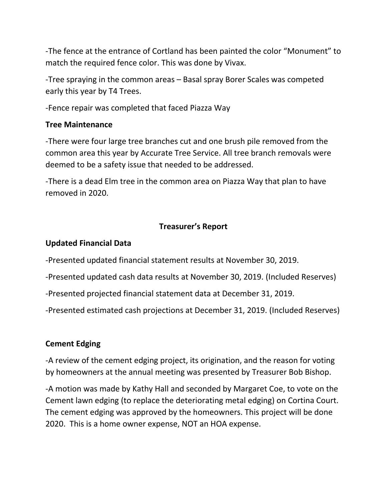-The fence at the entrance of Cortland has been painted the color "Monument" to match the required fence color. This was done by Vivax.

-Tree spraying in the common areas – Basal spray Borer Scales was competed early this year by T4 Trees.

-Fence repair was completed that faced Piazza Way

#### **Tree Maintenance**

-There were four large tree branches cut and one brush pile removed from the common area this year by Accurate Tree Service. All tree branch removals were deemed to be a safety issue that needed to be addressed.

-There is a dead Elm tree in the common area on Piazza Way that plan to have removed in 2020.

## **Treasurer's Report**

#### **Updated Financial Data**

-Presented updated financial statement results at November 30, 2019.

-Presented updated cash data results at November 30, 2019. (Included Reserves)

-Presented projected financial statement data at December 31, 2019.

-Presented estimated cash projections at December 31, 2019. (Included Reserves)

#### **Cement Edging**

-A review of the cement edging project, its origination, and the reason for voting by homeowners at the annual meeting was presented by Treasurer Bob Bishop.

-A motion was made by Kathy Hall and seconded by Margaret Coe, to vote on the Cement lawn edging (to replace the deteriorating metal edging) on Cortina Court. The cement edging was approved by the homeowners. This project will be done 2020. This is a home owner expense, NOT an HOA expense.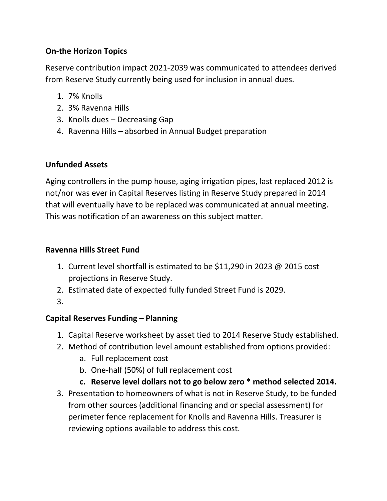## **On-the Horizon Topics**

Reserve contribution impact 2021-2039 was communicated to attendees derived from Reserve Study currently being used for inclusion in annual dues.

- 1. 7% Knolls
- 2. 3% Ravenna Hills
- 3. Knolls dues Decreasing Gap
- 4. Ravenna Hills absorbed in Annual Budget preparation

## **Unfunded Assets**

Aging controllers in the pump house, aging irrigation pipes, last replaced 2012 is not/nor was ever in Capital Reserves listing in Reserve Study prepared in 2014 that will eventually have to be replaced was communicated at annual meeting. This was notification of an awareness on this subject matter.

## **Ravenna Hills Street Fund**

- 1. Current level shortfall is estimated to be \$11,290 in 2023 @ 2015 cost projections in Reserve Study.
- 2. Estimated date of expected fully funded Street Fund is 2029.
- 3.

## **Capital Reserves Funding – Planning**

- 1. Capital Reserve worksheet by asset tied to 2014 Reserve Study established.
- 2. Method of contribution level amount established from options provided:
	- a. Full replacement cost
	- b. One-half (50%) of full replacement cost
	- **c. Reserve level dollars not to go below zero \* method selected 2014.**
- 3. Presentation to homeowners of what is not in Reserve Study, to be funded from other sources (additional financing and or special assessment) for perimeter fence replacement for Knolls and Ravenna Hills. Treasurer is reviewing options available to address this cost.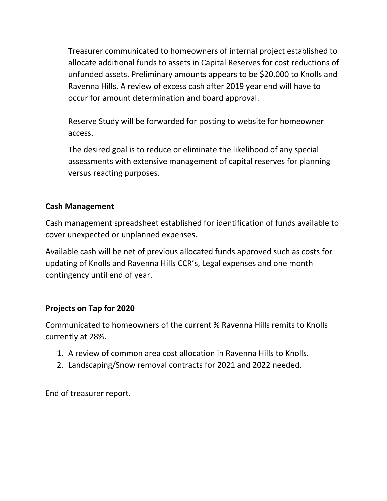Treasurer communicated to homeowners of internal project established to allocate additional funds to assets in Capital Reserves for cost reductions of unfunded assets. Preliminary amounts appears to be \$20,000 to Knolls and Ravenna Hills. A review of excess cash after 2019 year end will have to occur for amount determination and board approval.

Reserve Study will be forwarded for posting to website for homeowner access.

The desired goal is to reduce or eliminate the likelihood of any special assessments with extensive management of capital reserves for planning versus reacting purposes.

### **Cash Management**

Cash management spreadsheet established for identification of funds available to cover unexpected or unplanned expenses.

Available cash will be net of previous allocated funds approved such as costs for updating of Knolls and Ravenna Hills CCR's, Legal expenses and one month contingency until end of year.

#### **Projects on Tap for 2020**

Communicated to homeowners of the current % Ravenna Hills remits to Knolls currently at 28%.

- 1. A review of common area cost allocation in Ravenna Hills to Knolls.
- 2. Landscaping/Snow removal contracts for 2021 and 2022 needed.

End of treasurer report.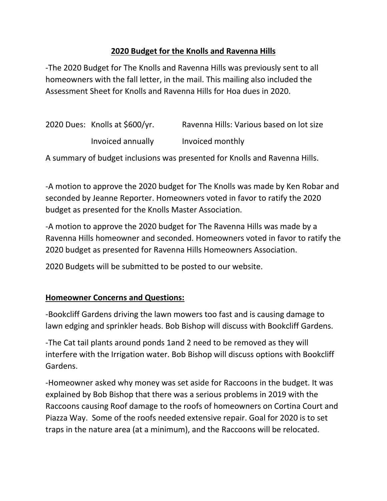## **2020 Budget for the Knolls and Ravenna Hills**

-The 2020 Budget for The Knolls and Ravenna Hills was previously sent to all homeowners with the fall letter, in the mail. This mailing also included the Assessment Sheet for Knolls and Ravenna Hills for Hoa dues in 2020.

| 2020 Dues: Knolls at \$600/yr. | Ravenna Hills: Various based on lot size |
|--------------------------------|------------------------------------------|
| Invoiced annually              | Invoiced monthly                         |

A summary of budget inclusions was presented for Knolls and Ravenna Hills.

-A motion to approve the 2020 budget for The Knolls was made by Ken Robar and seconded by Jeanne Reporter. Homeowners voted in favor to ratify the 2020 budget as presented for the Knolls Master Association.

-A motion to approve the 2020 budget for The Ravenna Hills was made by a Ravenna Hills homeowner and seconded. Homeowners voted in favor to ratify the 2020 budget as presented for Ravenna Hills Homeowners Association.

2020 Budgets will be submitted to be posted to our website.

## **Homeowner Concerns and Questions:**

-Bookcliff Gardens driving the lawn mowers too fast and is causing damage to lawn edging and sprinkler heads. Bob Bishop will discuss with Bookcliff Gardens.

-The Cat tail plants around ponds 1and 2 need to be removed as they will interfere with the Irrigation water. Bob Bishop will discuss options with Bookcliff Gardens.

-Homeowner asked why money was set aside for Raccoons in the budget. It was explained by Bob Bishop that there was a serious problems in 2019 with the Raccoons causing Roof damage to the roofs of homeowners on Cortina Court and Piazza Way. Some of the roofs needed extensive repair. Goal for 2020 is to set traps in the nature area (at a minimum), and the Raccoons will be relocated.